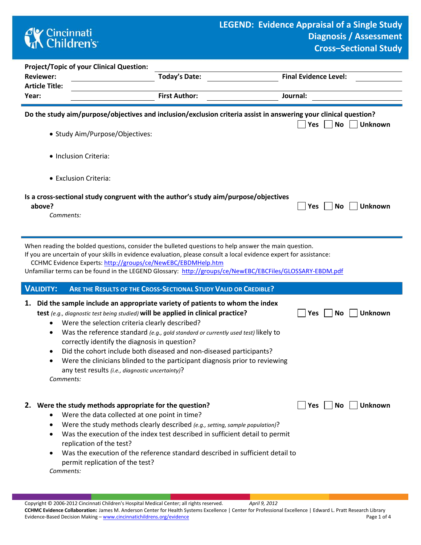## **CK** Cincinnati<br> **Children's**

| <b>Project/Topic of your Clinical Question:</b>                                                                                                                                                                                                                                                                                                                                                        |                                                                                                                                                                                                                                                                                                                        |                               |  |  |  |  |
|--------------------------------------------------------------------------------------------------------------------------------------------------------------------------------------------------------------------------------------------------------------------------------------------------------------------------------------------------------------------------------------------------------|------------------------------------------------------------------------------------------------------------------------------------------------------------------------------------------------------------------------------------------------------------------------------------------------------------------------|-------------------------------|--|--|--|--|
| <b>Reviewer:</b>                                                                                                                                                                                                                                                                                                                                                                                       | <b>Today's Date:</b>                                                                                                                                                                                                                                                                                                   | <b>Final Evidence Level:</b>  |  |  |  |  |
| <b>Article Title:</b><br>Year:                                                                                                                                                                                                                                                                                                                                                                         | <b>First Author:</b>                                                                                                                                                                                                                                                                                                   | Journal:                      |  |  |  |  |
| Do the study aim/purpose/objectives and inclusion/exclusion criteria assist in answering your clinical question?<br><b>No</b><br>$ $ Yes<br><b>Unknown</b>                                                                                                                                                                                                                                             |                                                                                                                                                                                                                                                                                                                        |                               |  |  |  |  |
| · Study Aim/Purpose/Objectives:                                                                                                                                                                                                                                                                                                                                                                        |                                                                                                                                                                                                                                                                                                                        |                               |  |  |  |  |
| • Inclusion Criteria:                                                                                                                                                                                                                                                                                                                                                                                  |                                                                                                                                                                                                                                                                                                                        |                               |  |  |  |  |
| • Exclusion Criteria:                                                                                                                                                                                                                                                                                                                                                                                  |                                                                                                                                                                                                                                                                                                                        |                               |  |  |  |  |
| Is a cross-sectional study congruent with the author's study aim/purpose/objectives<br>above?<br><b>Unknown</b><br><b>Yes</b><br><b>No</b><br>Comments:                                                                                                                                                                                                                                                |                                                                                                                                                                                                                                                                                                                        |                               |  |  |  |  |
| When reading the bolded questions, consider the bulleted questions to help answer the main question.<br>If you are uncertain of your skills in evidence evaluation, please consult a local evidence expert for assistance:<br>CCHMC Evidence Experts: http://groups/ce/NewEBC/EBDMHelp.htm<br>Unfamiliar terms can be found in the LEGEND Glossary: http://groups/ce/NewEBC/EBCFiles/GLOSSARY-EBDM.pdf |                                                                                                                                                                                                                                                                                                                        |                               |  |  |  |  |
| <b>VALIDITY:</b>                                                                                                                                                                                                                                                                                                                                                                                       | ARE THE RESULTS OF THE CROSS-SECTIONAL STUDY VALID OR CREDIBLE?                                                                                                                                                                                                                                                        |                               |  |  |  |  |
| 1.<br>test (e.g., diagnostic test being studied) will be applied in clinical practice?<br>Were the selection criteria clearly described?<br>$\bullet$<br>٠<br>correctly identify the diagnosis in question?<br>any test results (i.e., diagnostic uncertainty)?<br>Comments:                                                                                                                           | Did the sample include an appropriate variety of patients to whom the index<br>Was the reference standard (e.g., gold standard or currently used test) likely to<br>Did the cohort include both diseased and non-diseased participants?<br>Were the clinicians blinded to the participant diagnosis prior to reviewing | Unknown<br>Yes<br><b>No</b>   |  |  |  |  |
| 2. Were the study methods appropriate for the question?<br>Were the data collected at one point in time?<br>٠<br>replication of the test?<br>permit replication of the test?                                                                                                                                                                                                                           | Were the study methods clearly described (e.g., setting, sample population)?<br>Was the execution of the index test described in sufficient detail to permit<br>Was the execution of the reference standard described in sufficient detail to                                                                          | <b>Unknown</b><br> Yes <br>No |  |  |  |  |

*Comments:*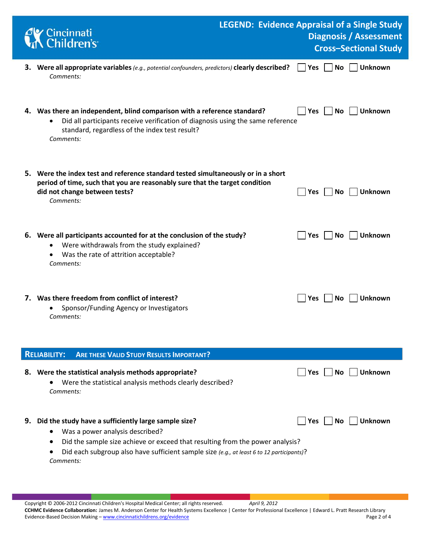|    | <b>C</b> Cincinnati<br><b>Children's</b>                                                                                                                                                                                                                                           | <b>LEGEND: Evidence Appraisal of a Single Study</b> |            |           | <b>Diagnosis / Assessment</b><br><b>Cross-Sectional Study</b> |
|----|------------------------------------------------------------------------------------------------------------------------------------------------------------------------------------------------------------------------------------------------------------------------------------|-----------------------------------------------------|------------|-----------|---------------------------------------------------------------|
|    | 3. Were all appropriate variables (e.g., potential confounders, predictors) clearly described?<br>Comments:                                                                                                                                                                        |                                                     | Yes        | <b>No</b> | <b>Unknown</b>                                                |
|    | 4. Was there an independent, blind comparison with a reference standard?<br>Did all participants receive verification of diagnosis using the same reference<br>standard, regardless of the index test result?<br>Comments:                                                         |                                                     | <b>Yes</b> | No        | <b>Unknown</b>                                                |
|    | 5. Were the index test and reference standard tested simultaneously or in a short<br>period of time, such that you are reasonably sure that the target condition<br>did not change between tests?<br>Comments:                                                                     |                                                     | Yes        | No        | <b>Unknown</b>                                                |
|    | 6. Were all participants accounted for at the conclusion of the study?<br>Were withdrawals from the study explained?<br>Was the rate of attrition acceptable?<br>Comments:                                                                                                         |                                                     | <b>Yes</b> | No.       | Unknown                                                       |
|    | 7. Was there freedom from conflict of interest?<br>Sponsor/Funding Agency or Investigators<br>Comments:                                                                                                                                                                            |                                                     | Yes        | Νo        | <b>Unknown</b>                                                |
|    | <b>ARE THESE VALID STUDY RESULTS IMPORTANT?</b><br><b>RELIABILITY:</b>                                                                                                                                                                                                             |                                                     |            |           |                                                               |
|    | 8. Were the statistical analysis methods appropriate?<br>Were the statistical analysis methods clearly described?<br>Comments:                                                                                                                                                     |                                                     | Yes        | No.       | <b>Unknown</b>                                                |
| 9. | Did the study have a sufficiently large sample size?<br>Was a power analysis described?<br>Did the sample size achieve or exceed that resulting from the power analysis?<br>Did each subgroup also have sufficient sample size (e.g., at least 6 to 12 participants)?<br>Comments: |                                                     | Yes        | No        | <b>Unknown</b>                                                |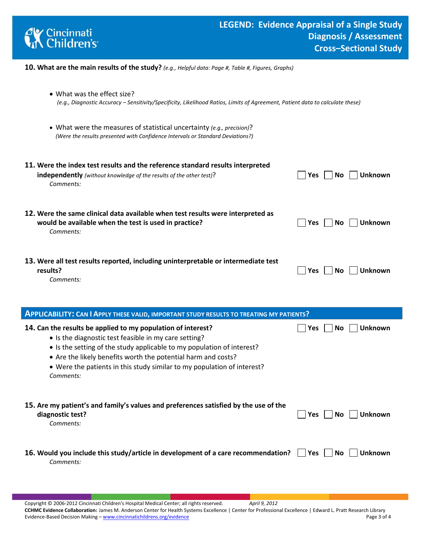

- **10. What are the main results of the study?** *(e.g., Helpful data: Page #, Table #, Figures, Graphs)*
	- What was the effect size? *(e.g., Diagnostic Accuracy – Sensitivity/Specificity, Likelihood Ratios, Limits of Agreement, Patient data to calculate these)*
	- What were the measures of statistical uncertainty *(e.g., precision)*? *(Were the results presented with Confidence Intervals or Standard Deviations?)*

| 11. Were the index test results and the reference standard results interpreted                 | <b>Unknown</b>               |
|------------------------------------------------------------------------------------------------|------------------------------|
| <b>independently</b> (without knowledge of the results of the other test)?                     | Yes                          |
| Comments:                                                                                      | No.                          |
| 12. Were the same clinical data available when test results were interpreted as                | Yes                          |
| would be available when the test is used in practice?                                          | No.                          |
| Comments:                                                                                      | <b>Unknown</b>               |
| 13. Were all test results reported, including uninterpretable or intermediate test<br>results? | <b>Yes</b><br>Unknown<br>No. |

*Comments:* 

| <b>APPLICABILITY: CAN I APPLY THESE VALID, IMPORTANT STUDY RESULTS TO TREATING MY PATIENTS?</b>                                                                                                                                                                                                                                                          |                                |  |  |
|----------------------------------------------------------------------------------------------------------------------------------------------------------------------------------------------------------------------------------------------------------------------------------------------------------------------------------------------------------|--------------------------------|--|--|
| 14. Can the results be applied to my population of interest?<br>• Is the diagnostic test feasible in my care setting?<br>• Is the setting of the study applicable to my population of interest?<br>• Are the likely benefits worth the potential harm and costs?<br>• Were the patients in this study similar to my population of interest?<br>Comments: | Unknown<br><b>Yes</b><br>No.   |  |  |
| 15. Are my patient's and family's values and preferences satisfied by the use of the<br>diagnostic test?<br>Comments:                                                                                                                                                                                                                                    | <b>Unknown</b><br>Yes<br>No.   |  |  |
| 16. Would you include this study/article in development of a care recommendation?<br>Comments:                                                                                                                                                                                                                                                           | No.<br><b>Unknown</b><br>Yes l |  |  |